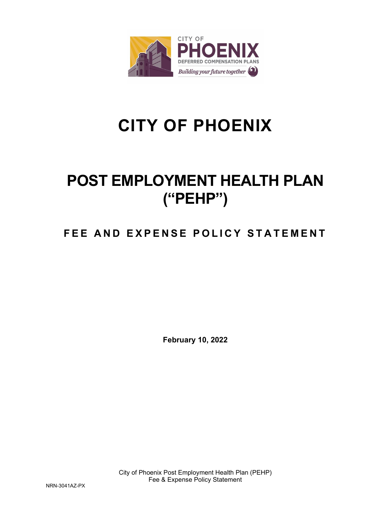

# **CITY OF PHOENIX**

## **POST EMPLOYMENT HEALTH PLAN ("PEHP")**

### **FEE AND EXPENSE POLICY STATEMENT**

**February 10, 2022**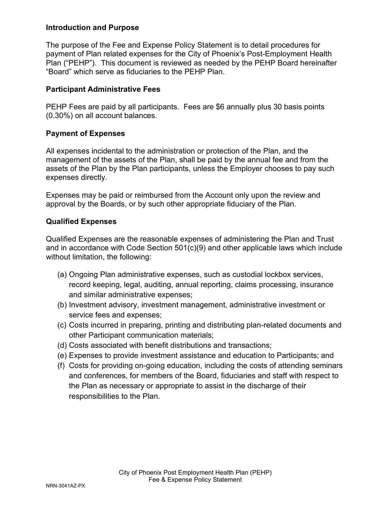#### **Introduction and Purpose**

The purpose of the Fee and Expense Policy Statement is to detail procedures for payment of Plan related expenses for the City of Phoenix's Post-Employment Health Plan ("PEHP"). This document is reviewed as needed by the PEHP Board hereinafter "Board" which serve as fiduciaries to the PEHP Plan.

#### **Participant Administrative Fees**

PEHP Fees are paid by all participants. Fees are \$6 annually plus 30 basis points (0.30%) on all account balances.

#### **Payment of Expenses**

All expenses incidental to the administration or protection of the Plan, and the management of the assets of the Plan, shall be paid by the annual fee and from the assets of the Plan by the Plan participants, unless the Employer chooses to pay such expenses directly.

Expenses may be paid or reimbursed from the Account only upon the review and approval by the Boards, or by such other appropriate fiduciary of the Plan.

#### **Qualified Expenses**

Qualified Expenses are the reasonable expenses of administering the Plan and Trust and in accordance with Code Section 501(c)(9) and other applicable laws which include without limitation, the following:

- (a) Ongoing Plan administrative expenses, such as custodial lockbox services, record keeping, legal, auditing, annual reporting, claims processing, insurance and similar administrative expenses;
- (b) Investment advisory, investment management, administrative investment or service fees and expenses;
- (c) Costs incurred in preparing, printing and distributing plan-related documents and other Participant communication materials;
- (d) Costs associated with benefit distributions and transactions;
- (e) Expenses to provide investment assistance and education to Participants; and
- (f) Costs for providing on-going education, including the costs of attending seminars and conferences, for members of the Board, fiduciaries and staff with respect to the Plan as necessary or appropriate to assist in the discharge of their responsibilities to the Plan.